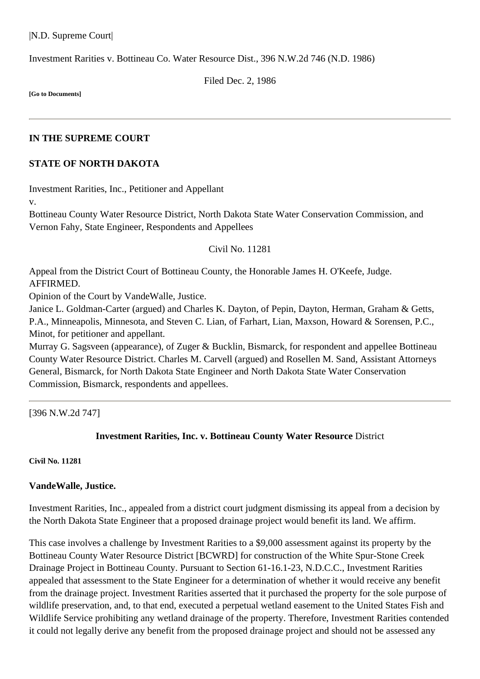|N.D. Supreme Court|

Investment Rarities v. Bottineau Co. Water Resource Dist., [396 N.W.2d 746](http://www.ndcourts.gov/supreme-court/opinion/396NW2d746) (N.D. 1986)

Filed Dec. 2, 1986

**[Go to Documents]**

#### **IN THE SUPREME COURT**

## **STATE OF NORTH DAKOTA**

Investment Rarities, Inc., Petitioner and Appellant

v.

Bottineau County Water Resource District, North Dakota State Water Conservation Commission, and Vernon Fahy, State Engineer, Respondents and Appellees

### Civil No. 11281

Appeal from the District Court of Bottineau County, the Honorable James H. O'Keefe, Judge. AFFIRMED.

Opinion of the Court by VandeWalle, Justice.

Janice L. Goldman-Carter (argued) and Charles K. Dayton, of Pepin, Dayton, Herman, Graham & Getts, P.A., Minneapolis, Minnesota, and Steven C. Lian, of Farhart, Lian, Maxson, Howard & Sorensen, P.C., Minot, for petitioner and appellant.

Murray G. Sagsveen (appearance), of Zuger & Bucklin, Bismarck, for respondent and appellee Bottineau County Water Resource District. Charles M. Carvell (argued) and Rosellen M. Sand, Assistant Attorneys General, Bismarck, for North Dakota State Engineer and North Dakota State Water Conservation Commission, Bismarck, respondents and appellees.

[396 N.W.2d 747]

## **Investment Rarities, Inc. v. Bottineau County Water Resource** District

#### **Civil No. 11281**

## **VandeWalle, Justice.**

Investment Rarities, Inc., appealed from a district court judgment dismissing its appeal from a decision by the North Dakota State Engineer that a proposed drainage project would benefit its land. We affirm.

This case involves a challenge by Investment Rarities to a \$9,000 assessment against its property by the Bottineau County Water Resource District [BCWRD] for construction of the White Spur-Stone Creek Drainage Project in Bottineau County. Pursuant to Section 61-16.1-23, N.D.C.C., Investment Rarities appealed that assessment to the State Engineer for a determination of whether it would receive any benefit from the drainage project. Investment Rarities asserted that it purchased the property for the sole purpose of wildlife preservation, and, to that end, executed a perpetual wetland easement to the United States Fish and Wildlife Service prohibiting any wetland drainage of the property. Therefore, Investment Rarities contended it could not legally derive any benefit from the proposed drainage project and should not be assessed any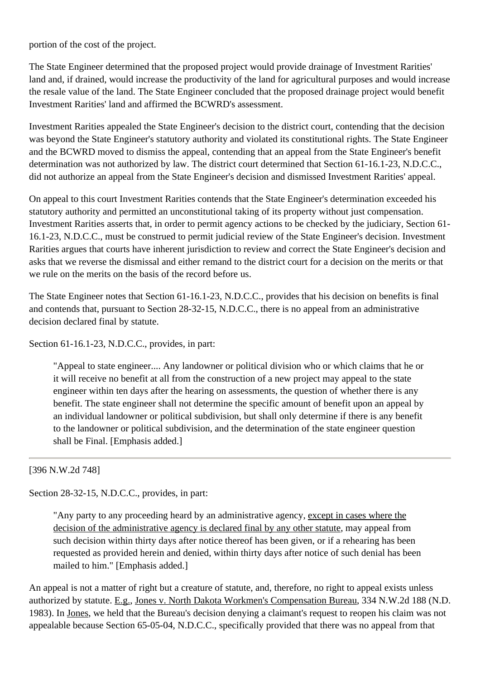portion of the cost of the project.

The State Engineer determined that the proposed project would provide drainage of Investment Rarities' land and, if drained, would increase the productivity of the land for agricultural purposes and would increase the resale value of the land. The State Engineer concluded that the proposed drainage project would benefit Investment Rarities' land and affirmed the BCWRD's assessment.

Investment Rarities appealed the State Engineer's decision to the district court, contending that the decision was beyond the State Engineer's statutory authority and violated its constitutional rights. The State Engineer and the BCWRD moved to dismiss the appeal, contending that an appeal from the State Engineer's benefit determination was not authorized by law. The district court determined that Section 61-16.1-23, N.D.C.C., did not authorize an appeal from the State Engineer's decision and dismissed Investment Rarities' appeal.

On appeal to this court Investment Rarities contends that the State Engineer's determination exceeded his statutory authority and permitted an unconstitutional taking of its property without just compensation. Investment Rarities asserts that, in order to permit agency actions to be checked by the judiciary, Section 61- 16.1-23, N.D.C.C., must be construed to permit judicial review of the State Engineer's decision. Investment Rarities argues that courts have inherent jurisdiction to review and correct the State Engineer's decision and asks that we reverse the dismissal and either remand to the district court for a decision on the merits or that we rule on the merits on the basis of the record before us.

The State Engineer notes that Section 61-16.1-23, N.D.C.C., provides that his decision on benefits is final and contends that, pursuant to Section 28-32-15, N.D.C.C., there is no appeal from an administrative decision declared final by statute.

Section 61-16.1-23, N.D.C.C., provides, in part:

"Appeal to state engineer.... Any landowner or political division who or which claims that he or it will receive no benefit at all from the construction of a new project may appeal to the state engineer within ten days after the hearing on assessments, the question of whether there is any benefit. The state engineer shall not determine the specific amount of benefit upon an appeal by an individual landowner or political subdivision, but shall only determine if there is any benefit to the landowner or political subdivision, and the determination of the state engineer question shall be Final. [Emphasis added.]

# [396 N.W.2d 748]

Section 28-32-15, N.D.C.C., provides, in part:

"Any party to any proceeding heard by an administrative agency, except in cases where the decision of the administrative agency is declared final by any other statute, may appeal from such decision within thirty days after notice thereof has been given, or if a rehearing has been requested as provided herein and denied, within thirty days after notice of such denial has been mailed to him." [Emphasis added.]

An appeal is not a matter of right but a creature of statute, and, therefore, no right to appeal exists unless authorized by statute. E.g., Jones v. North Dakota Workmen's Compensation Bureau, [334 N.W.2d 188](http://www.ndcourts.gov/supreme-court/opinion/334NW2d188) (N.D. 1983). In Jones, we held that the Bureau's decision denying a claimant's request to reopen his claim was not appealable because Section 65-05-04, N.D.C.C., specifically provided that there was no appeal from that